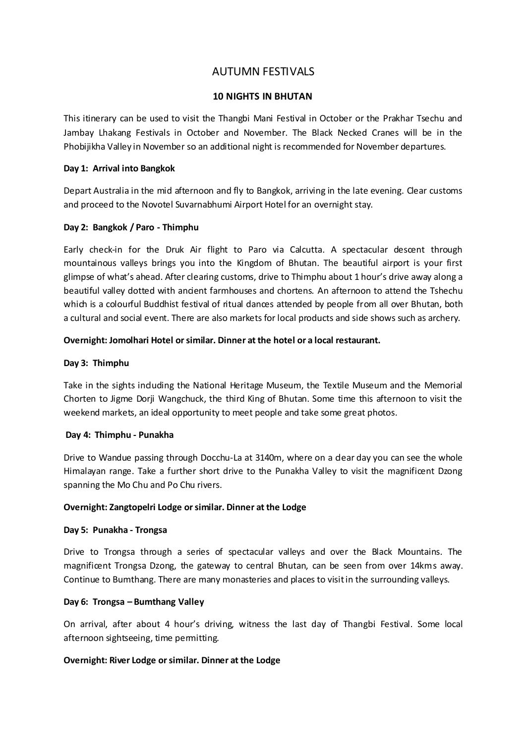# AUTUMN FESTIVALS

# **10 NIGHTS IN BHUTAN**

This itinerary can be used to visit the Thangbi Mani Festival in October or the Prakhar Tsechu and Jambay Lhakang Festivals in October and November. The Black Necked Cranes will be in the Phobijikha Valley in November so an additional night is recommended for November departures.

## **Day 1: Arrival into Bangkok**

Depart Australia in the mid afternoon and fly to Bangkok, arriving in the late evening. Clear customs and proceed to the Novotel Suvarnabhumi Airport Hotel for an overnight stay.

## **Day 2: Bangkok / Paro - Thimphu**

Early check-in for the Druk Air flight to Paro via Calcutta. A spectacular descent through mountainous valleys brings you into the Kingdom of Bhutan. The beautiful airport is your first glimpse of what's ahead. After clearing customs, drive to Thimphu about 1 hour's drive away along a beautiful valley dotted with ancient farmhouses and chortens. An afternoon to attend the Tshechu which is a colourful Buddhist festival of ritual dances attended by people from all over Bhutan, both a cultural and social event. There are also markets for local products and side shows such as archery.

## **Overnight: Jomolhari Hotel or similar. Dinner at the hotel or a local restaurant.**

## **Day 3: Thimphu**

Take in the sights including the National Heritage Museum, the Textile Museum and the Memorial Chorten to Jigme Dorji Wangchuck, the third King of Bhutan. Some time this afternoon to visit the weekend markets, an ideal opportunity to meet people and take some great photos.

#### **Day 4: Thimphu - Punakha**

Drive to Wandue passing through Docchu-La at 3140m, where on a dear day you can see the whole Himalayan range. Take a further short drive to the Punakha Valley to visit the magnificent Dzong spanning the Mo Chu and Po Chu rivers.

#### **Overnight: Zangtopelri Lodge or similar. Dinner at the Lodge**

## **Day 5: Punakha - Trongsa**

Drive to Trongsa through a series of spectacular valleys and over the Black Mountains. The magnificent Trongsa Dzong, the gateway to central Bhutan, can be seen from over 14kms away. Continue to Bumthang. There are many monasteries and places to visit in the surrounding valleys.

# **Day 6: Trongsa – Bumthang Valley**

On arrival, after about 4 hour's driving, witness the last day of Thangbi Festival. Some local afternoon sightseeing, time permitting.

# **Overnight: River Lodge or similar. Dinner at the Lodge**